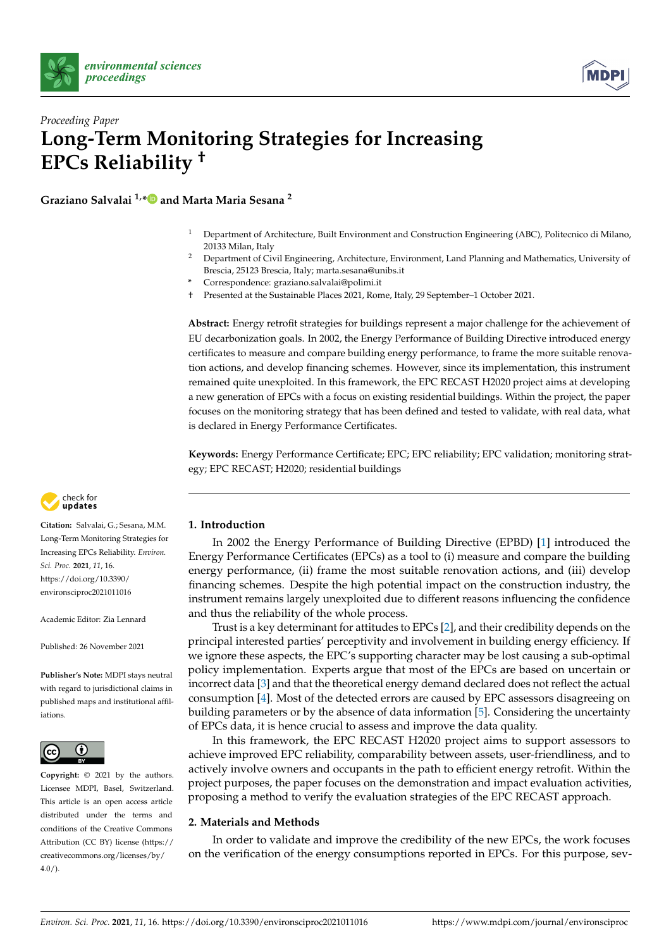



# *Proceeding Paper* **Long-Term Monitoring Strategies for Increasing EPCs Reliability †**

**Graziano Salvalai 1,[\\*](https://orcid.org/0000-0001-6286-809X) and Marta Maria Sesana <sup>2</sup>**

- <sup>1</sup> Department of Architecture, Built Environment and Construction Engineering (ABC), Politecnico di Milano, 20133 Milan, Italy
- <sup>2</sup> Department of Civil Engineering, Architecture, Environment, Land Planning and Mathematics, University of Brescia, 25123 Brescia, Italy; marta.sesana@unibs.it
- **\*** Correspondence: graziano.salvalai@polimi.it
- † Presented at the Sustainable Places 2021, Rome, Italy, 29 September–1 October 2021.

**Abstract:** Energy retrofit strategies for buildings represent a major challenge for the achievement of EU decarbonization goals. In 2002, the Energy Performance of Building Directive introduced energy certificates to measure and compare building energy performance, to frame the more suitable renovation actions, and develop financing schemes. However, since its implementation, this instrument remained quite unexploited. In this framework, the EPC RECAST H2020 project aims at developing a new generation of EPCs with a focus on existing residential buildings. Within the project, the paper focuses on the monitoring strategy that has been defined and tested to validate, with real data, what is declared in Energy Performance Certificates.

**Keywords:** Energy Performance Certificate; EPC; EPC reliability; EPC validation; monitoring strategy; EPC RECAST; H2020; residential buildings



**Citation:** Salvalai, G.; Sesana, M.M. Long-Term Monitoring Strategies for Increasing EPCs Reliability. *Environ. Sci. Proc.* **2021**, *11*, 16. [https://doi.org/10.3390/](https://doi.org/10.3390/environsciproc2021011016) [environsciproc2021011016](https://doi.org/10.3390/environsciproc2021011016)

Academic Editor: Zia Lennard

Published: 26 November 2021

**Publisher's Note:** MDPI stays neutral with regard to jurisdictional claims in published maps and institutional affiliations.



**Copyright:** © 2021 by the authors. Licensee MDPI, Basel, Switzerland. This article is an open access article distributed under the terms and conditions of the Creative Commons Attribution (CC BY) license (https:/[/](https://creativecommons.org/licenses/by/4.0/) [creativecommons.org/licenses/by/](https://creativecommons.org/licenses/by/4.0/)  $4.0/$ ).

#### **1. Introduction**

In 2002 the Energy Performance of Building Directive (EPBD) [\[1\]](#page-6-0) introduced the Energy Performance Certificates (EPCs) as a tool to (i) measure and compare the building energy performance, (ii) frame the most suitable renovation actions, and (iii) develop financing schemes. Despite the high potential impact on the construction industry, the instrument remains largely unexploited due to different reasons influencing the confidence and thus the reliability of the whole process.

Trust is a key determinant for attitudes to EPCs [\[2\]](#page-6-1), and their credibility depends on the principal interested parties' perceptivity and involvement in building energy efficiency. If we ignore these aspects, the EPC's supporting character may be lost causing a sub-optimal policy implementation. Experts argue that most of the EPCs are based on uncertain or incorrect data [\[3\]](#page-6-2) and that the theoretical energy demand declared does not reflect the actual consumption [\[4\]](#page-6-3). Most of the detected errors are caused by EPC assessors disagreeing on building parameters or by the absence of data information [\[5\]](#page-6-4). Considering the uncertainty of EPCs data, it is hence crucial to assess and improve the data quality.

In this framework, the EPC RECAST H2020 project aims to support assessors to achieve improved EPC reliability, comparability between assets, user-friendliness, and to actively involve owners and occupants in the path to efficient energy retrofit. Within the project purposes, the paper focuses on the demonstration and impact evaluation activities, proposing a method to verify the evaluation strategies of the EPC RECAST approach.

### **2. Materials and Methods**

In order to validate and improve the credibility of the new EPCs, the work focuses on the verification of the energy consumptions reported in EPCs. For this purpose, sev-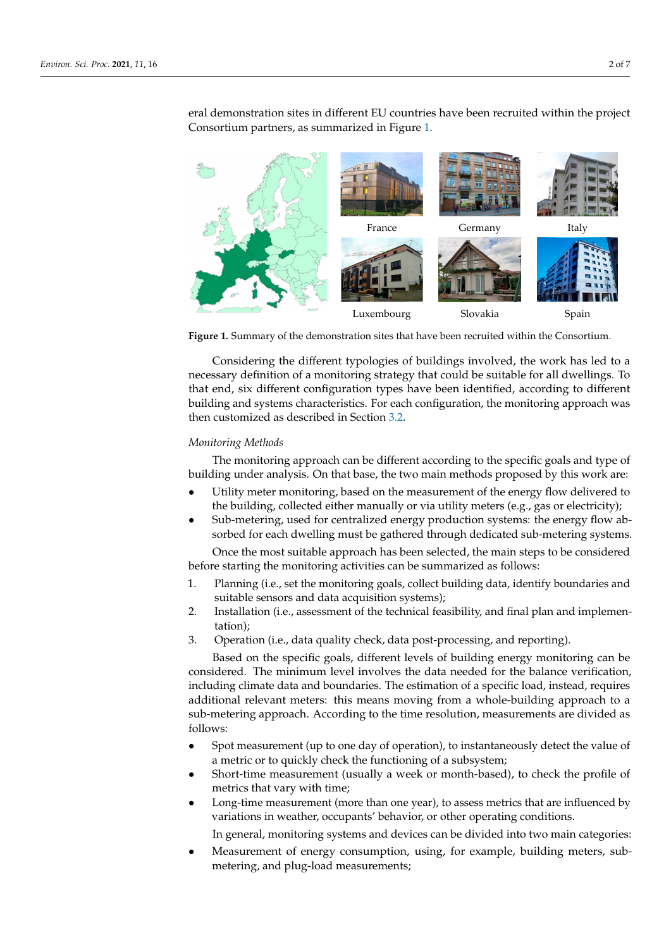<span id="page-1-0"></span>

eral demonstration sites in different EU countries have been recruited within the project Consortium partners, as summarized in Figure [1.](#page-1-0)

**Figure 1.** Summary of the demonstration sites that have been recruited within the Consortium. **Figure 1.** Summary of the demonstration sites that have been recruited within the Consortium.

Considering the different typologies of buildings involved, the work has led to a necessary definition of a monitoring strategy that could be suitable for all dwellings. To that end, six different configuration types have been identified, according to different building and systems characteristics. For each configuration, the monitoring approach was customized as described in Section 3.2. then customized as described in Section [3.2.](#page-4-0)

## *Monitoring Methods Monitoring Methods*

The monitoring approach can be different according to the specific goals and type of building under analysis. On that base, the two main methods proposed by this work are: building under analysis. On that base, the two main methods proposed by this work are:

- Utility meter monitoring, based on the measurement of the energy flow delivered to the building, collected either manually or via utility meters (e.g., gas or electricity);
- Sub-metering, used for centralized energy production systems: the energy flow absorbed for each dwelling must be gathered through dedicated sub-metering systems. sorbed for each dwelling must be gathered through dedicated sub-metering systems.

Once the most suitable approach has been selected, the main steps to be considered before starting the monitoring activities can be summarized as follows: before starting the monitoring activities can be summarized as follows: Once the most suitable approach has been selected, the main steps to be considered

- 1. Planning (i.e., set the monitoring goals, collect building data, identify boundaries and 1. Planning (i.e., set the monitoring goals, collect building data, identify boundaries and suitable sensors and data acquisition systems);
- suitable sensors and data acquisition systems) 2. Installation (i.e., assessment of the technical feasibility, and final plan and implementation). tation);
- tation); 3. Operation (i.e., data quality check, data post-processing, and reporting). 3. Operation (i.e., data quality check, data post-processing, and reporting).

considered. The minimum level involves the data needed for the balance verification, including climate data and boundaries. The estimation of a specific load, instead, requires additional relevant meters: this means moving from a whole-building approach to a sub-metering approach. According to the time resolution, measurements are divided as  $t_{\text{follows}}$ .  $\sigma$  the time resolution, measurements are divided as  $\sigma$ Based on the specific goals, different levels of building energy monitoring can be follows:

- Spot measurement (up to one day of operation), to instantaneously detect the value Spot measurement (up to one day of operation), to instantaneously detect the value of a metric or to quickly check the functioning of a subsystem;
- Short-time measurement (usually a week or month-based), to check the profile of Short-time measurement (usually a week or month-based), to check the profile of metrics that vary with time; metrics that vary with time;
- Long-time measurement (more than one year), to assess metrics that are influenced Long-time measurement (more than one year), to assess metrics that are influenced by by variations in weather, occupants' behavior, or other operating conditions. variations in weather, occupants' behavior, or other operating conditions.

In general, monitoring systems and devices can be divided into two main categories: In general, monitoring systems and devices can be divided into two main categories:

• Measurement of energy consumption, using, for example, building meters, submetering, and plug-load measurements;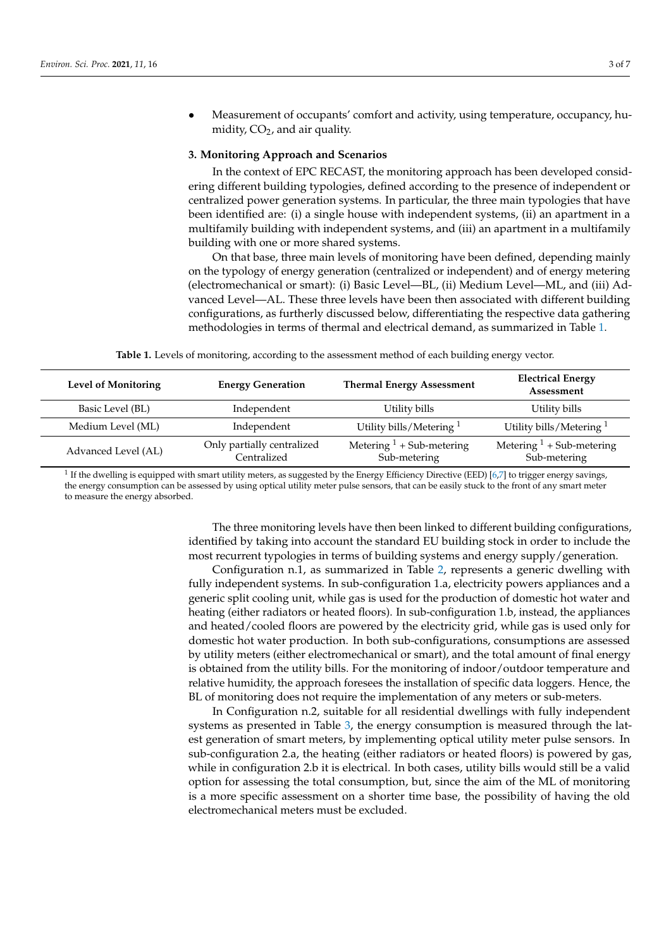• Measurement of occupants' comfort and activity, using temperature, occupancy, humidity,  $CO<sub>2</sub>$ , and air quality.

#### **3. Monitoring Approach and Scenarios**

In the context of EPC RECAST, the monitoring approach has been developed considering different building typologies, defined according to the presence of independent or centralized power generation systems. In particular, the three main typologies that have been identified are: (i) a single house with independent systems, (ii) an apartment in a multifamily building with independent systems, and (iii) an apartment in a multifamily building with one or more shared systems.

On that base, three main levels of monitoring have been defined, depending mainly on the typology of energy generation (centralized or independent) and of energy metering (electromechanical or smart): (i) Basic Level—BL, (ii) Medium Level—ML, and (iii) Advanced Level—AL. These three levels have been then associated with different building configurations, as furtherly discussed below, differentiating the respective data gathering methodologies in terms of thermal and electrical demand, as summarized in Table [1.](#page-2-0)

**Table 1.** Levels of monitoring, according to the assessment method of each building energy vector.

<span id="page-2-0"></span>

| <b>Level of Monitoring</b> | <b>Energy Generation</b>                  | <b>Thermal Energy Assessment</b>            | <b>Electrical Energy</b><br>Assessment      |  |
|----------------------------|-------------------------------------------|---------------------------------------------|---------------------------------------------|--|
| Basic Level (BL)           | Independent                               | Utility bills                               | Utility bills                               |  |
| Medium Level (ML)          | Independent                               | Utility bills/Metering $1$                  | Utility bills/Metering $1$                  |  |
| Advanced Level (AL)        | Only partially centralized<br>Centralized | Metering $1 +$ Sub-metering<br>Sub-metering | Metering $1 +$ Sub-metering<br>Sub-metering |  |

 $^1$  If the dwelling is equipped with smart utility meters, as suggested by the Energy Efficiency Directive (EED) [\[6,](#page-6-5)[7\]](#page-6-6) to trigger energy savings, the energy consumption can be assessed by using optical utility meter pulse sensors, that can be easily stuck to the front of any smart meter to measure the energy absorbed.

> The three monitoring levels have then been linked to different building configurations, identified by taking into account the standard EU building stock in order to include the most recurrent typologies in terms of building systems and energy supply/generation.

> Configuration n.1, as summarized in Table [2,](#page-3-0) represents a generic dwelling with fully independent systems. In sub-configuration 1.a, electricity powers appliances and a generic split cooling unit, while gas is used for the production of domestic hot water and heating (either radiators or heated floors). In sub-configuration 1.b, instead, the appliances and heated/cooled floors are powered by the electricity grid, while gas is used only for domestic hot water production. In both sub-configurations, consumptions are assessed by utility meters (either electromechanical or smart), and the total amount of final energy is obtained from the utility bills. For the monitoring of indoor/outdoor temperature and relative humidity, the approach foresees the installation of specific data loggers. Hence, the BL of monitoring does not require the implementation of any meters or sub-meters.

> In Configuration n.2, suitable for all residential dwellings with fully independent systems as presented in Table [3,](#page-3-1) the energy consumption is measured through the latest generation of smart meters, by implementing optical utility meter pulse sensors. In sub-configuration 2.a, the heating (either radiators or heated floors) is powered by gas, while in configuration 2.b it is electrical. In both cases, utility bills would still be a valid option for assessing the total consumption, but, since the aim of the ML of monitoring is a more specific assessment on a shorter time base, the possibility of having the old electromechanical meters must be excluded.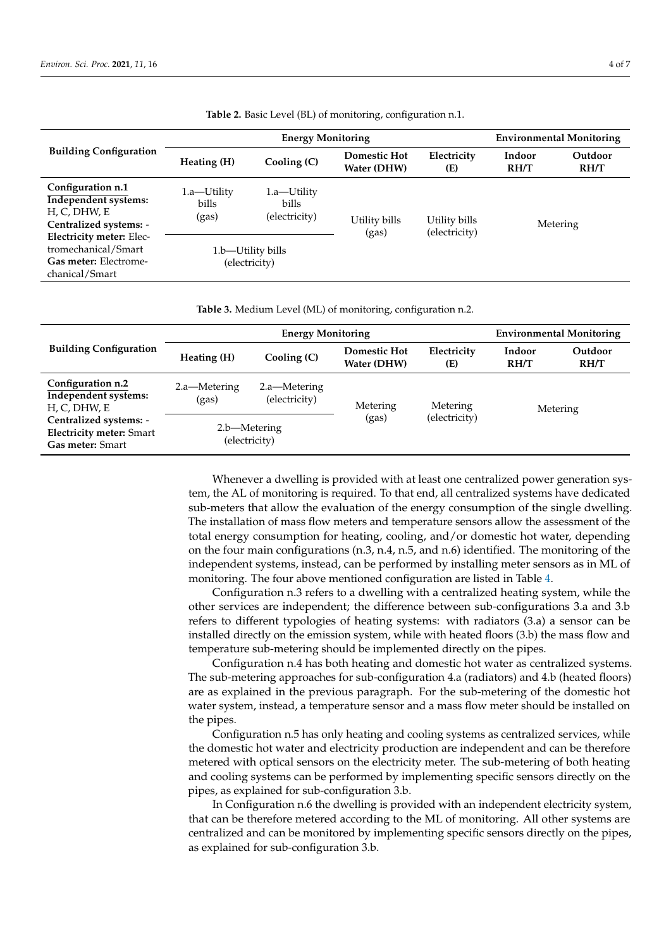<span id="page-3-0"></span>

| <b>Building Configuration</b>                                                                     | <b>Energy Monitoring</b>           |                                        |                                    |                                | <b>Environmental Monitoring</b> |                 |
|---------------------------------------------------------------------------------------------------|------------------------------------|----------------------------------------|------------------------------------|--------------------------------|---------------------------------|-----------------|
|                                                                                                   | Heating (H)                        | Cooling (C)                            | <b>Domestic Hot</b><br>Water (DHW) | Electricity<br>(E)             | Indoor<br>RH/T                  | Outdoor<br>RH/T |
| Configuration n.1<br><b>Independent systems:</b><br>H, C, DHW, E<br>Centralized systems: -        | 1.a—Utility<br>bills<br>(gas)      | 1.a—Utility<br>bills.<br>(electricity) | Utility bills<br>(gas)             | Utility bills<br>(electricity) | Metering                        |                 |
| <b>Electricity meter: Elec-</b><br>tromechanical/Smart<br>Gas meter: Electrome-<br>chanical/Smart | 1.b—Utility bills<br>(electricity) |                                        |                                    |                                |                                 |                 |

**Table 2.** Basic Level (BL) of monitoring, configuration n.1.

**Table 3.** Medium Level (ML) of monitoring, configuration n.2.

<span id="page-3-1"></span>

| <b>Building Configuration</b>                                                                                                                     | <b>Energy Monitoring</b>      |                               |                                    |                    | <b>Environmental Monitoring</b> |                 |
|---------------------------------------------------------------------------------------------------------------------------------------------------|-------------------------------|-------------------------------|------------------------------------|--------------------|---------------------------------|-----------------|
|                                                                                                                                                   | Heating (H)                   | Cooling (C)                   | <b>Domestic Hot</b><br>Water (DHW) | Electricity<br>(E) | Indoor<br>RH/T                  | Outdoor<br>RH/T |
| Configuration n.2<br><b>Independent systems:</b><br>H, C, DHW, E<br>Centralized systems: -<br><b>Electricity meter: Smart</b><br>Gas meter: Smart | 2.a—Metering<br>(gas)         | 2.a—Metering<br>(electricity) | Metering                           | Metering           | Metering                        |                 |
|                                                                                                                                                   | 2.b—Metering<br>(electricity) |                               | (gas)                              | (electricity)      |                                 |                 |

Whenever a dwelling is provided with at least one centralized power generation system, the AL of monitoring is required. To that end, all centralized systems have dedicated sub-meters that allow the evaluation of the energy consumption of the single dwelling. The installation of mass flow meters and temperature sensors allow the assessment of the total energy consumption for heating, cooling, and/or domestic hot water, depending on the four main configurations (n.3, n.4, n.5, and n.6) identified. The monitoring of the independent systems, instead, can be performed by installing meter sensors as in ML of monitoring. The four above mentioned configuration are listed in Table [4.](#page-4-1)

Configuration n.3 refers to a dwelling with a centralized heating system, while the other services are independent; the difference between sub-configurations 3.a and 3.b refers to different typologies of heating systems: with radiators (3.a) a sensor can be installed directly on the emission system, while with heated floors (3.b) the mass flow and temperature sub-metering should be implemented directly on the pipes.

Configuration n.4 has both heating and domestic hot water as centralized systems. The sub-metering approaches for sub-configuration 4.a (radiators) and 4.b (heated floors) are as explained in the previous paragraph. For the sub-metering of the domestic hot water system, instead, a temperature sensor and a mass flow meter should be installed on the pipes.

Configuration n.5 has only heating and cooling systems as centralized services, while the domestic hot water and electricity production are independent and can be therefore metered with optical sensors on the electricity meter. The sub-metering of both heating and cooling systems can be performed by implementing specific sensors directly on the pipes, as explained for sub-configuration 3.b.

In Configuration n.6 the dwelling is provided with an independent electricity system, that can be therefore metered according to the ML of monitoring. All other systems are centralized and can be monitored by implementing specific sensors directly on the pipes, as explained for sub-configuration 3.b.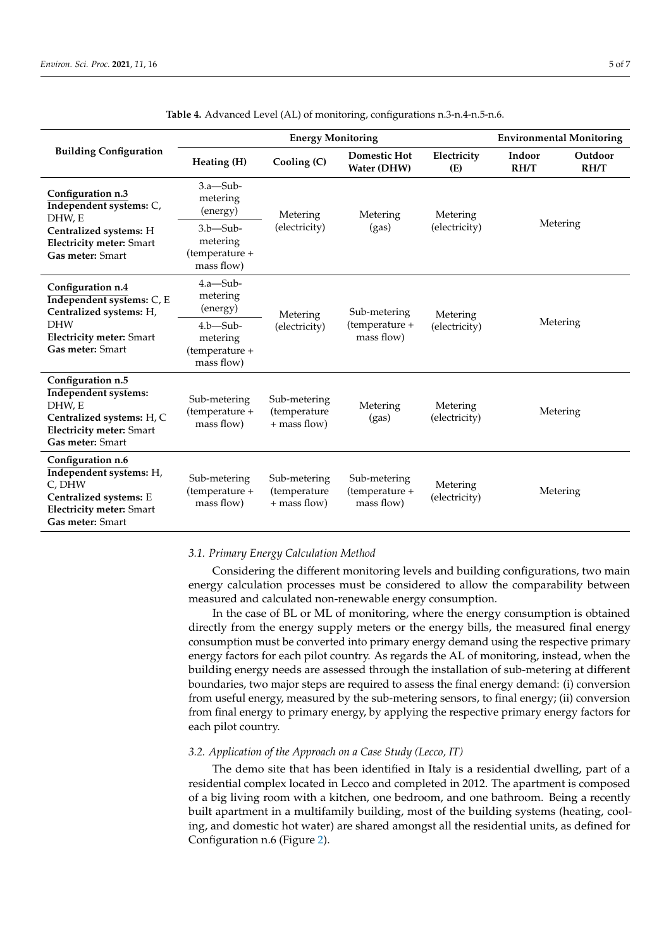<span id="page-4-1"></span>

|                                                                                                                                                | <b>Energy Monitoring</b>                                |                                                |                                              |                           | <b>Environmental Monitoring</b> |                 |
|------------------------------------------------------------------------------------------------------------------------------------------------|---------------------------------------------------------|------------------------------------------------|----------------------------------------------|---------------------------|---------------------------------|-----------------|
| <b>Building Configuration</b>                                                                                                                  | Heating (H)                                             | Cooling (C)                                    | <b>Domestic Hot</b><br>Water (DHW)           | Electricity<br>(E)        | Indoor<br>RH/T                  | Outdoor<br>RH/T |
| Configuration n.3<br>Independent systems: C,<br>DHW, E<br>Centralized systems: H<br><b>Electricity meter: Smart</b><br>Gas meter: Smart        | $3.a—Sub-$<br>metering<br>(energy)                      | Metering                                       | Metering<br>(gas)                            | Metering<br>(electricity) | Metering                        |                 |
|                                                                                                                                                | $3.b$ —Sub-<br>metering<br>(temperature +<br>mass flow) | (electricity)                                  |                                              |                           |                                 |                 |
| Configuration n.4<br>Independent systems: C, E<br>Centralized systems: H,<br><b>DHW</b><br><b>Electricity meter: Smart</b><br>Gas meter: Smart | $4.a—Sub-$<br>metering<br>(energy)                      | Metering                                       | Sub-metering<br>(temperature +<br>mass flow) | Metering<br>(electricity) | Metering                        |                 |
|                                                                                                                                                | $4.b$ —Sub-<br>metering<br>(temperature +<br>mass flow) | (electricity)                                  |                                              |                           |                                 |                 |
| Configuration n.5<br><b>Independent systems:</b><br>DHW, E<br>Centralized systems: H, C<br><b>Electricity meter: Smart</b><br>Gas meter: Smart | Sub-metering<br>(temperature +<br>mass flow)            | Sub-metering<br>(temperature<br>$+$ mass flow) | Metering<br>(gas)                            | Metering<br>(electricity) | Metering                        |                 |
| Configuration n.6<br>Independent systems: H,<br>C, DHW<br>Centralized systems: E<br><b>Electricity meter: Smart</b><br>Gas meter: Smart        | Sub-metering<br>(temperature +<br>mass flow)            | Sub-metering<br>(temperature<br>+ mass flow)   | Sub-metering<br>(temperature +<br>mass flow) | Metering<br>(electricity) | Metering                        |                 |

**Table 4.** Advanced Level (AL) of monitoring, configurations n.3-n.4-n.5-n.6.

#### *3.1. Primary Energy Calculation Method*

Considering the different monitoring levels and building configurations, two main energy calculation processes must be considered to allow the comparability between measured and calculated non-renewable energy consumption.

In the case of BL or ML of monitoring, where the energy consumption is obtained directly from the energy supply meters or the energy bills, the measured final energy consumption must be converted into primary energy demand using the respective primary energy factors for each pilot country. As regards the AL of monitoring, instead, when the building energy needs are assessed through the installation of sub-metering at different boundaries, two major steps are required to assess the final energy demand: (i) conversion from useful energy, measured by the sub-metering sensors, to final energy; (ii) conversion from final energy to primary energy, by applying the respective primary energy factors for each pilot country.

#### <span id="page-4-0"></span>*3.2. Application of the Approach on a Case Study (Lecco, IT)*

The demo site that has been identified in Italy is a residential dwelling, part of a residential complex located in Lecco and completed in 2012. The apartment is composed of a big living room with a kitchen, one bedroom, and one bathroom. Being a recently built apartment in a multifamily building, most of the building systems (heating, cooling, and domestic hot water) are shared amongst all the residential units, as defined for Configuration n.6 (Figure [2\)](#page-5-0).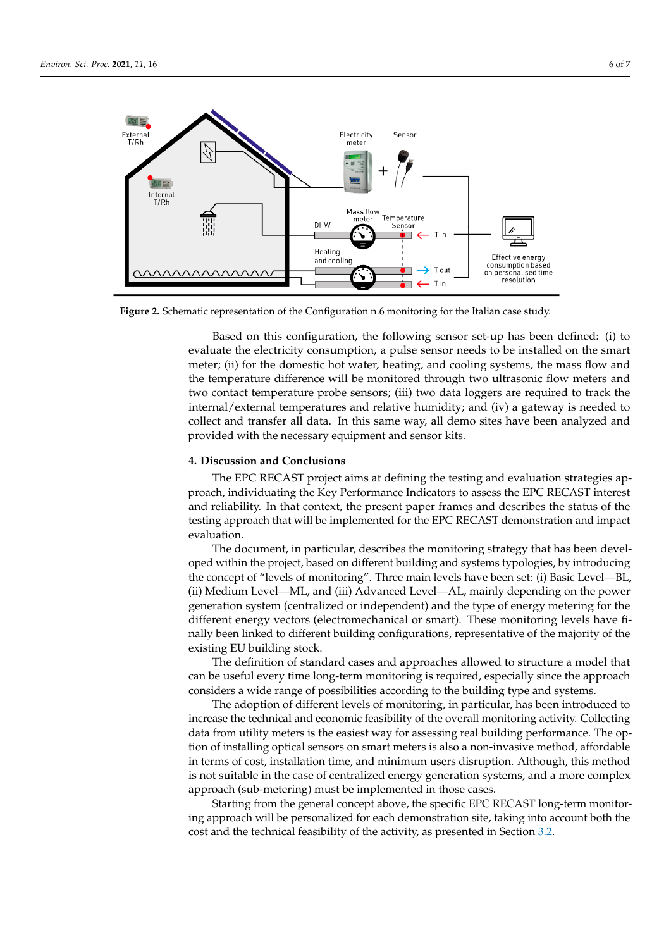<span id="page-5-0"></span>

**Figure 2.** Schematic representation of the Configuration n.6 monitoring for the Italian case study. **Figure 2.** Schematic representation of the Configuration n.6 monitoring for the Italian case study.

Based on this configuration, the following sensor set-up has been defined: (i) to evaluate the electricity consumption, a pulse sensor needs to be installed on the smart meter; (ii) for the domestic hot water, heating, and cooling systems, the mass flow and the temperature difference will be monitored through two ultrasonic flow meters and two contact temperature probe sensors; (iii) two data loggers are required to track the internal/external temperatures and relative humidity; and (iv) a gateway is needed to collect and transfer all data. In this same way, all demo sites have been analyzed and provided with the necessary equipment and sensor kits.

#### **4. Discussion and Conclusions 4. Discussion and Conclusions**

The EPC RECAST project aims at defining the testing and evaluation strategies ap-proach, individuating the Key Performance Indicators to assess the EPC RECAST interest proach, individuating the Key Performance Indicators to assess the EPC RECAST interest<br>and reliability. In that context, the present paper frames and describes the status of the and reliability. In the context paper frames and describes the present paper frames and describes  $\frac{1}{2}$  the status of the present paper frames and describes  $\frac{1}{2}$  the status of the status of the status of the stat testing approach that will be implemented for the EPC RECAST demonstration and impact<br>evaluation The EPC RECAST project aims at defining the testing and evaluation strategies apevaluation.

The document, in particular, describes the monitoring strategy that has been developed within the project, based on different building and systems typologies, by introducing the concept of "levels of monitoring". Three main levels have been set: (i) Basic Level—BL, (ii) Medium Level—ML, and (iii) Advanced Level—AL, mainly depending on the power generation system (centralized or independent) and the type of energy metering for the different energy vectors (electromechanical or smart). These monitoring levels have finally been linked to different building configurations, representative of the majority of the existing EU building stock.

The definition of standard cases and approaches allowed to structure a model that can be useful every time long-term monitoring is required, especially since the approach considers a wide range of possibilities according to the building type and systems.

The adoption of different levels of monitoring, in particular, has been introduced to increase the technical and economic feasibility of the overall monitoring activity. Collecting data from utility meters is the easiest way for assessing real building performance. The option of installing optical sensors on smart meters is also a non-invasive method, affordable in terms of cost, installation time, and minimum users disruption. Although, this method is not suitable in the case of centralized energy generation systems, and a more complex approach (sub-metering) must be implemented in those cases.

Starting from the general concept above, the specific EPC RECAST long-term monitoring approach will be personalized for each demonstration site, taking into account both the cost and the technical feasibility of the activity, as presented in Section 3.2.